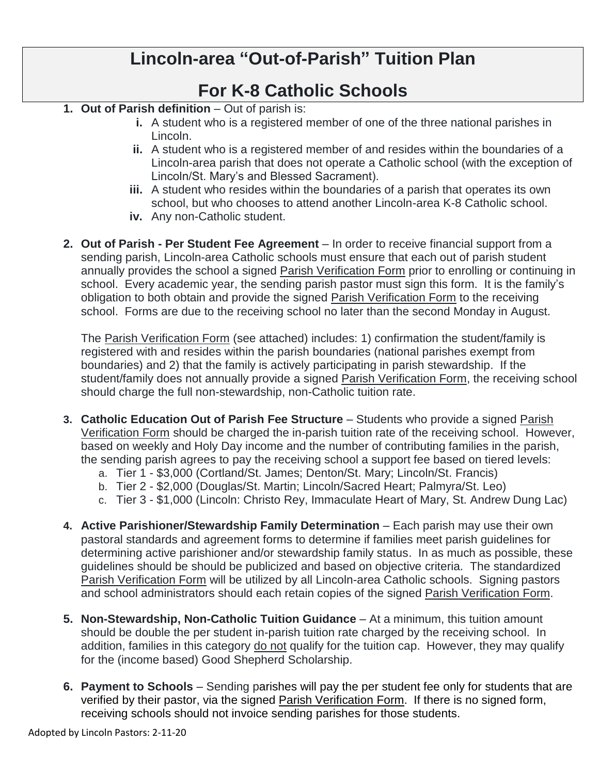## **Lincoln-area "Out-of-Parish" Tuition Plan**

## **For K-8 Catholic Schools**

- **1. Out of Parish definition**  Out of parish is:
	- **i.** A student who is a registered member of one of the three national parishes in Lincoln.
	- **ii.** A student who is a registered member of and resides within the boundaries of a Lincoln-area parish that does not operate a Catholic school (with the exception of Lincoln/St. Mary's and Blessed Sacrament).
	- **iii.** A student who resides within the boundaries of a parish that operates its own school, but who chooses to attend another Lincoln-area K-8 Catholic school.
	- **iv.** Any non-Catholic student.
- **2. Out of Parish - Per Student Fee Agreement** In order to receive financial support from a sending parish, Lincoln-area Catholic schools must ensure that each out of parish student annually provides the school a signed Parish Verification Form prior to enrolling or continuing in school. Every academic year, the sending parish pastor must sign this form. It is the family's obligation to both obtain and provide the signed Parish Verification Form to the receiving school. Forms are due to the receiving school no later than the second Monday in August.

The Parish Verification Form (see attached) includes: 1) confirmation the student/family is registered with and resides within the parish boundaries (national parishes exempt from boundaries) and 2) that the family is actively participating in parish stewardship. If the student/family does not annually provide a signed Parish Verification Form, the receiving school should charge the full non-stewardship, non-Catholic tuition rate.

- **3. Catholic Education Out of Parish Fee Structure** Students who provide a signed Parish Verification Form should be charged the in-parish tuition rate of the receiving school. However, based on weekly and Holy Day income and the number of contributing families in the parish, the sending parish agrees to pay the receiving school a support fee based on tiered levels:
	- a. Tier 1 \$3,000 (Cortland/St. James; Denton/St. Mary; Lincoln/St. Francis)
	- b. Tier 2 \$2,000 (Douglas/St. Martin; Lincoln/Sacred Heart; Palmyra/St. Leo)
	- c. Tier 3 \$1,000 (Lincoln: Christo Rey, Immaculate Heart of Mary, St. Andrew Dung Lac)
- **4. Active Parishioner/Stewardship Family Determination** Each parish may use their own pastoral standards and agreement forms to determine if families meet parish guidelines for determining active parishioner and/or stewardship family status. In as much as possible, these guidelines should be should be publicized and based on objective criteria. The standardized Parish Verification Form will be utilized by all Lincoln-area Catholic schools. Signing pastors and school administrators should each retain copies of the signed Parish Verification Form.
- **5. Non-Stewardship, Non-Catholic Tuition Guidance**  At a minimum, this tuition amount should be double the per student in-parish tuition rate charged by the receiving school. In addition, families in this category do not qualify for the tuition cap. However, they may qualify for the (income based) Good Shepherd Scholarship.
- **6. Payment to Schools** Sending parishes will pay the per student fee only for students that are verified by their pastor, via the signed Parish Verification Form. If there is no signed form, receiving schools should not invoice sending parishes for those students.